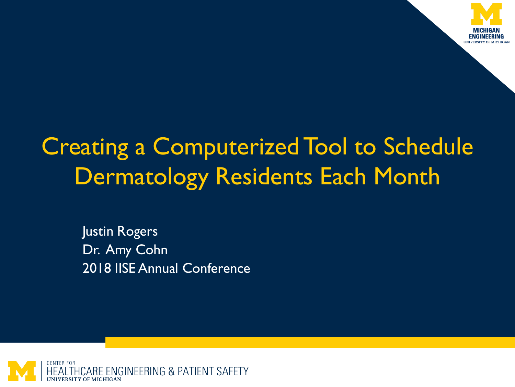

## Creating a Computerized Tool to Schedule Dermatology Residents Each Month

Justin Rogers Dr. Amy Cohn 2018 IISE Annual Conference

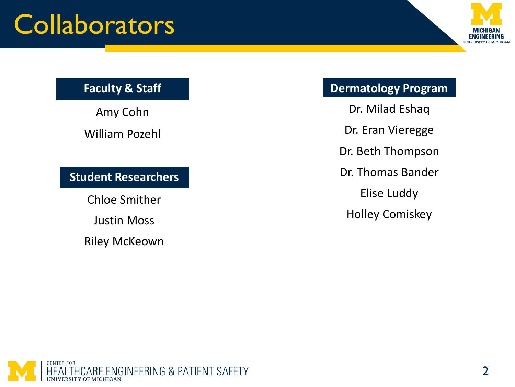## **Collaborators**



#### **Faculty & Staff**

Amy Cohn William Pozehl

**Student Researchers**

Chloe Smither

Justin Moss

Riley McKeown

#### **Dermatology Program**

Dr. Milad Eshaq

Dr. Eran Vieregge

Dr. Beth Thompson

Dr. Thomas Bander

Elise Luddy

Holley Comiskey

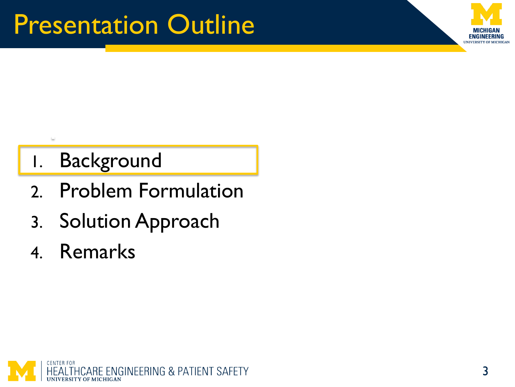

### 1. Background

- 2. Problem Formulation
- 3. Solution Approach
- 4. Remarks

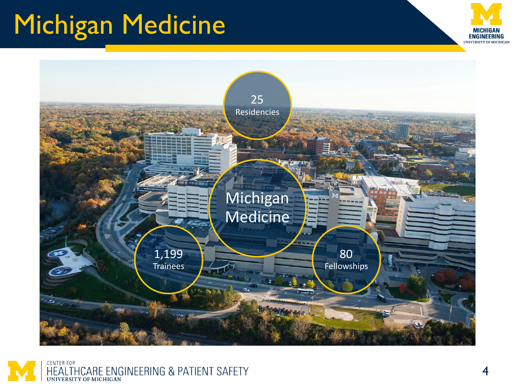# Michigan Medicine





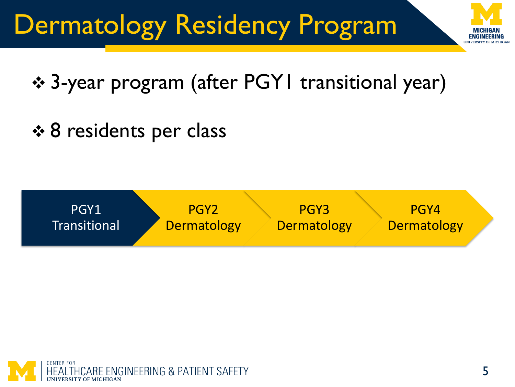# Dermatology Residency Program



## 3-year program (after PGY1 transitional year)

**† 8 residents per class** 



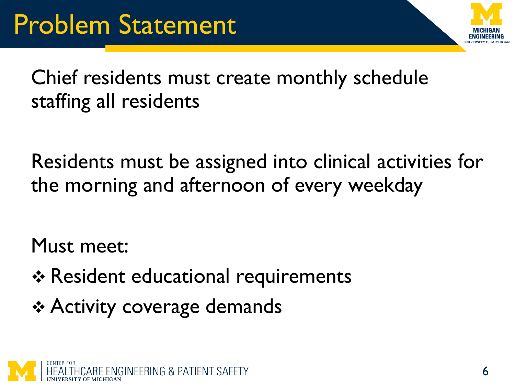

Chief residents must create monthly schedule staffing all residents

Residents must be assigned into clinical activities for the morning and afternoon of every weekday

Must meet:

- \* Resident educational requirements
- **↑ Activity coverage demands**

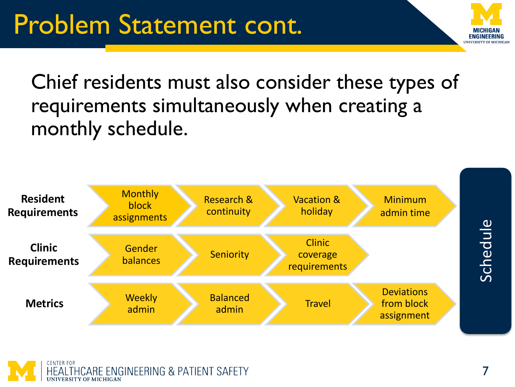Chief residents must also consider these types of requirements simultaneously when creating a monthly schedule.





**FNGINFFRING IINIVERSITY OF MICHICAN**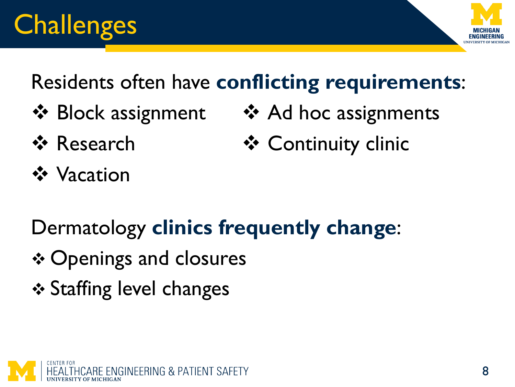# **Challenges**



## Residents often have **conflicting requirements**:

- Block assignment Ad hoc assignments
	-
- 
- ❖ Research → ◆ Continuity clinic
- **❖** Vacation

Dermatology **clinics frequently change**:

- **❖ Openings and closures**
- **❖ Staffing level changes**

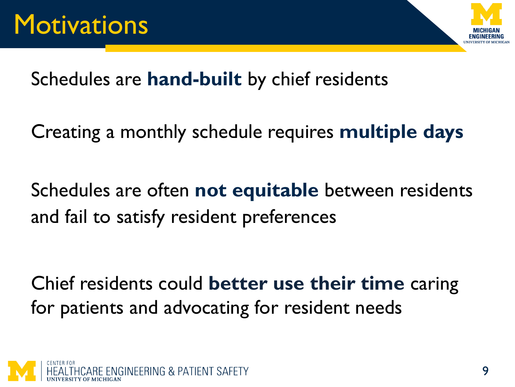

Schedules are **hand-built** by chief residents

Creating a monthly schedule requires **multiple days** 

Schedules are often **not equitable** between residents and fail to satisfy resident preferences

Chief residents could **better use their time** caring for patients and advocating for resident needs

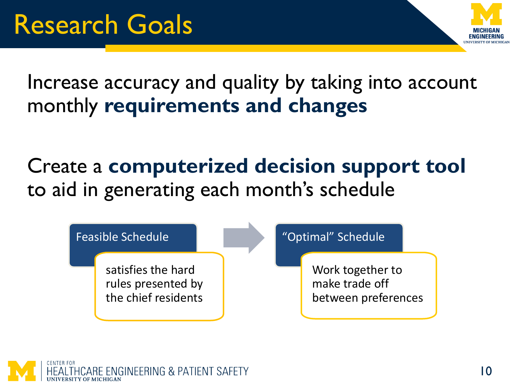

Increase accuracy and quality by taking into account monthly **requirements and changes**

Create a **computerized decision support tool**  to aid in generating each month's schedule



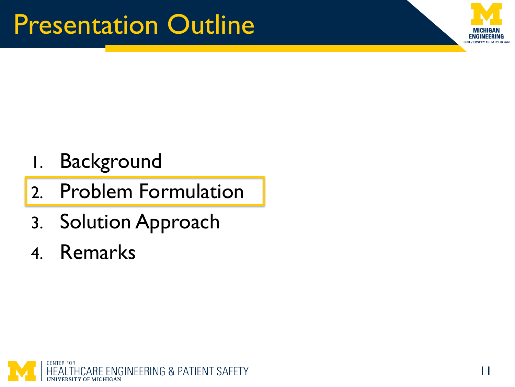

- 1. Background
- 2. Problem Formulation
- 3. Solution Approach
- 4. Remarks

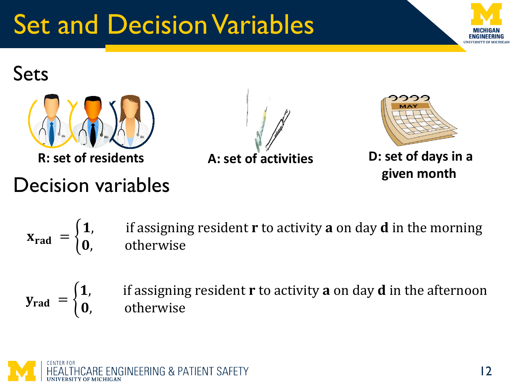# Set and Decision Variables



### Sets



## Decision variables





**R: set of residents A: set of activities D: set of days in a given month**

 $X_{\text{rad}} = \begin{cases}$  $\mathbf 1, \qquad$  if assigning resident  $\mathbf r$  to activity  $\mathbf a$  on day  $\mathbf d$  in the morning , otherwise

 $y_{rad} = \{$ 1, it assigning resident **r** to activity **a** on day **d** in the afternoon , otherwise

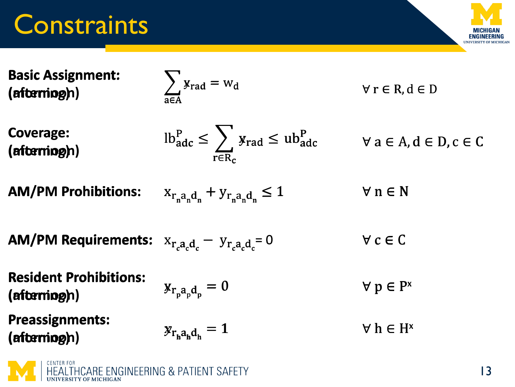## **Constraints**



| <b>Basic Assignment:</b><br>(afterning)                  | $\sum$ $\mathbf{y}_{\text{rad}} = \mathbf{w}_{\text{d}}$                                                                 | $\forall r \in R, d \in D$                |                |
|----------------------------------------------------------|--------------------------------------------------------------------------------------------------------------------------|-------------------------------------------|----------------|
| <b>Coverage:</b><br>(afterning)                          | $lb_{\text{adc}}^{\text{P}} \leq \sum_{\text{r} \in \text{R}_{\text{c}}} y_{\text{rad}} \leq ub_{\text{adc}}^{\text{P}}$ | $\forall$ a $\in$ A, d $\in$ D, c $\in$ C |                |
| <b>AM/PM Prohibitions:</b>                               | $X_{r_n a_n d_n} + Y_{r_n a_n d_n} \le 1$                                                                                | $\forall n \in \mathbb{N}$                |                |
| <b>AM/PM Requirements:</b> $X_{r,a,d} - y_{r,a,d_c} = 0$ |                                                                                                                          | $\forall c \in C$                         |                |
| <b>Resident Prohibitions:</b><br>(afterning)             | $\mathbf{y}_{rpa_p}$ d <sub>p</sub> = 0                                                                                  | $\forall p \in P^x$                       |                |
| <b>Preassignments:</b><br>(afterning)                    | $y_{r_h a_h d_h} = 1$                                                                                                    | $\forall$ h $\in$ H <sup>x</sup>          |                |
| <b>HEALTHCARE ENGINEERING &amp; PATIENT SAFETY</b>       |                                                                                                                          |                                           | $\overline{3}$ |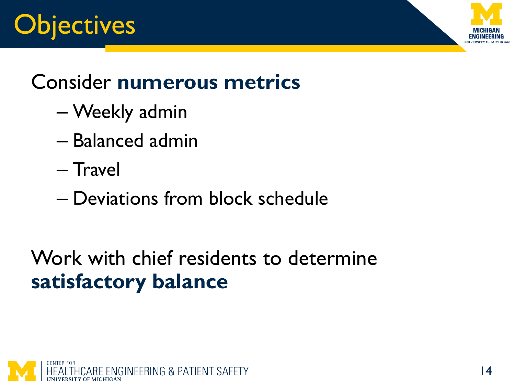



## Consider **numerous metrics**

- Weekly admin
- Balanced admin
- Travel
- Deviations from block schedule

Work with chief residents to determine **satisfactory balance**

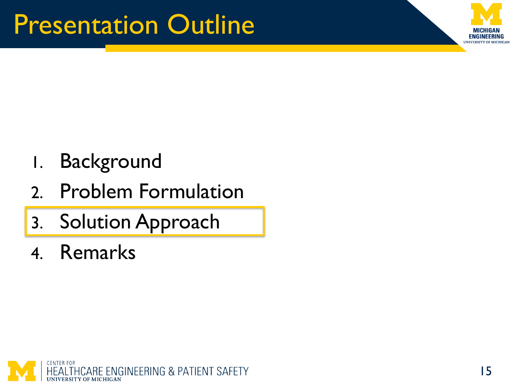

- 1. Background
- 2. Problem Formulation
- 3. Solution Approach
- 4. Remarks

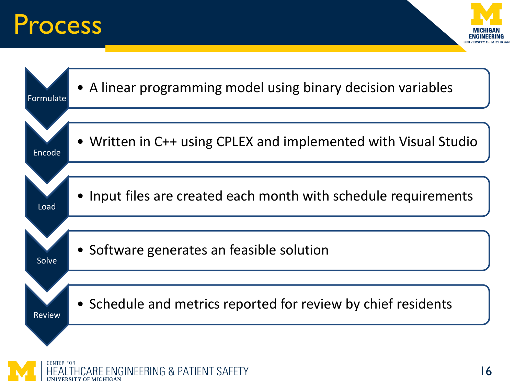## Process



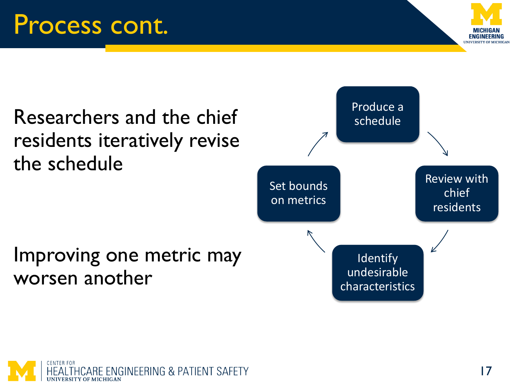



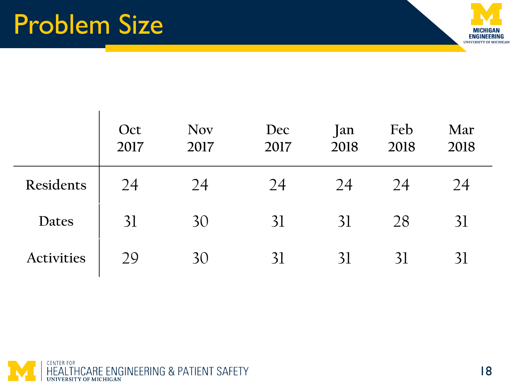

|                   | Oct<br>2017 | <b>Nov</b><br>2017 | Dec<br>2017 | Jan<br>2018 | Feb<br>2018 | Mar<br>2018 |
|-------------------|-------------|--------------------|-------------|-------------|-------------|-------------|
| Residents         | 24          | 24                 | 24          | 24          | 24          | 24          |
| Dates             | 31          | 30                 | 31          | 31          | 28          | 31          |
| <b>Activities</b> | 29          | 30                 | 31          | 31          | 31          | 31          |

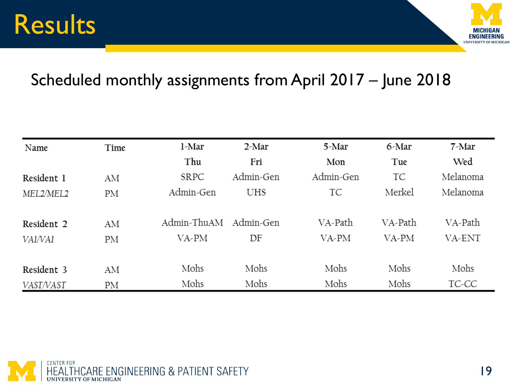## Results



#### Scheduled monthly assignments from April 2017 – June 2018

| Name       | Time | l-Mar       | 2-Mar      | 5-Mar     | 6-Mar   | $7$ -Mar |
|------------|------|-------------|------------|-----------|---------|----------|
|            |      | Thu         | Fri        | Mon       | Tue     | Wed      |
| Resident 1 | AM   | <b>SRPC</b> | Admin-Gen  | Admin-Gen | TC      | Melanoma |
| MEL2/MEL2  | PM   | Admin-Gen   | <b>UHS</b> | TC        | Merkel  | Melanoma |
| Resident 2 | ΑM   | Admin-ThuAM | Admin-Gen  | VA-Path   | VA-Path | VA-Path  |
| VAI/VAI    | PМ   | VA-PM       | DF         | VA-PM     | VA-PM   | VA-ENT   |
| Resident 3 | AM   | Mohs        | Mohs       | Mohs      | Mohs    | Mohs     |
| VAST/VAST  | ΡM   | Mohs        | Mohs       | Mohs      | Mohs    | TC-CC    |

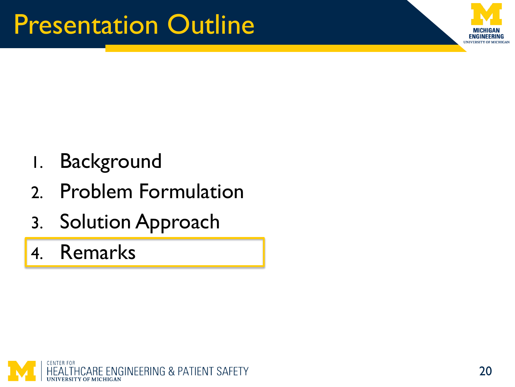

- 1. Background
- 2. Problem Formulation
- 3. Solution Approach

4. Remarks

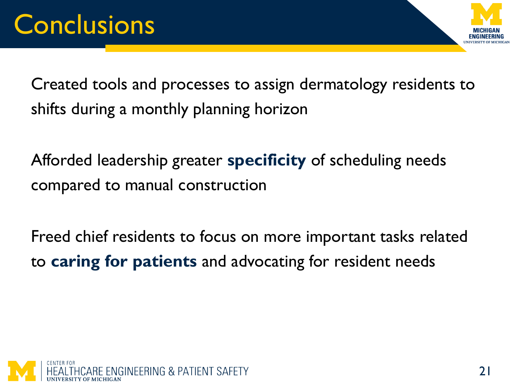

Created tools and processes to assign dermatology residents to shifts during a monthly planning horizon

Afforded leadership greater **specificity** of scheduling needs compared to manual construction

Freed chief residents to focus on more important tasks related to **caring for patients** and advocating for resident needs

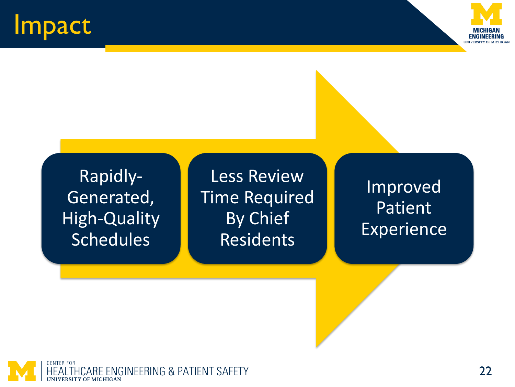## Impact



Rapidly-Generated, High-Quality **Schedules** 

Less Review Time Required By Chief Residents

Improved Patient Experience

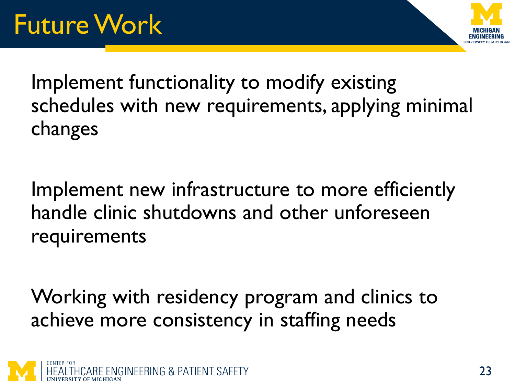

Implement functionality to modify existing schedules with new requirements, applying minimal changes

Implement new infrastructure to more efficiently handle clinic shutdowns and other unforeseen requirements

Working with residency program and clinics to achieve more consistency in staffing needs

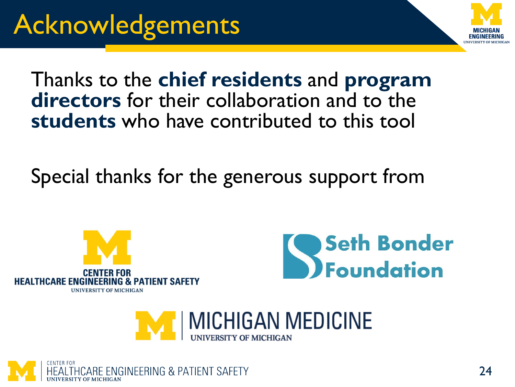

#### Thanks to the **chief residents** and **program directors** for their collaboration and to the **students** who have contributed to this tool

Special thanks for the generous support from